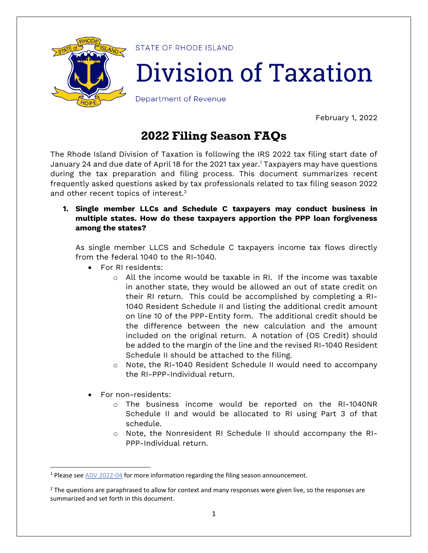

**STATE OF RHODE ISLAND** 

# Division of Taxation

Department of Revenue

February 1, 2022

# 2022 Filing Season FAQs

The Rhode Island Division of Taxation is following the IRS 2022 tax filing start date of January 24 and due date of April 18 for the 2021 tax year.<sup>1</sup> Taxpayers may have questions during the tax preparation and filing process. This document summarizes recent frequently asked questions asked by tax professionals related to tax filing season 2022 and other recent topics of interest. 2

**1. Single member LLCs and Schedule C taxpayers may conduct business in multiple states. How do these taxpayers apportion the PPP loan forgiveness among the states?**

As single member LLCS and Schedule C taxpayers income tax flows directly from the federal 1040 to the RI-1040.

- For RI residents:
	- $\circ$  All the income would be taxable in RI. If the income was taxable in another state, they would be allowed an out of state credit on their RI return. This could be accomplished by completing a RI-1040 Resident Schedule II and listing the additional credit amount on line 10 of the PPP-Entity form. The additional credit should be the difference between the new calculation and the amount included on the original return. A notation of (OS Credit) should be added to the margin of the line and the revised RI-1040 Resident Schedule II should be attached to the filing.
	- o Note, the RI-1040 Resident Schedule II would need to accompany the RI-PPP-Individual return.
- For non-residents:
	- o The business income would be reported on the RI-1040NR Schedule II and would be allocated to RI using Part 3 of that schedule.
	- o Note, the Nonresident RI Schedule II should accompany the RI-PPP-Individual return.

<sup>&</sup>lt;sup>1</sup> Please see [ADV 2022-04](https://tax.ri.gov/media/18936/download?language=en) for more information regarding the filing season announcement.

 $<sup>2</sup>$  The questions are paraphrased to allow for context and many responses were given live, so the responses are</sup> summarized and set forth in this document.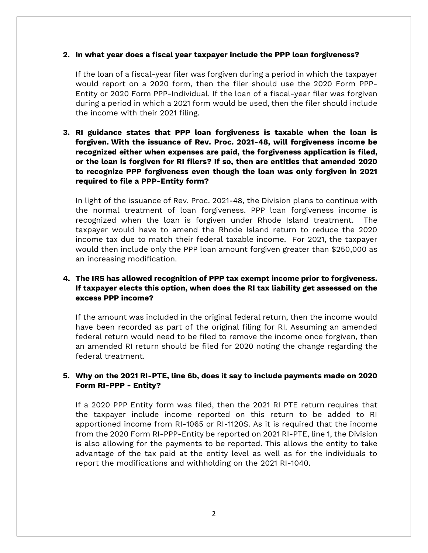#### **2. In what year does a fiscal year taxpayer include the PPP loan forgiveness?**

If the loan of a fiscal-year filer was forgiven during a period in which the taxpayer would report on a 2020 form, then the filer should use the 2020 Form PPP-Entity or 2020 Form PPP-Individual. If the loan of a fiscal-year filer was forgiven during a period in which a 2021 form would be used, then the filer should include the income with their 2021 filing.

## **3. RI guidance states that PPP loan forgiveness is taxable when the loan is forgiven. With the issuance of Rev. Proc. 2021-48, will forgiveness income be recognized either when expenses are paid, the forgiveness application is filed, or the loan is forgiven for RI filers? If so, then are entities that amended 2020 to recognize PPP forgiveness even though the loan was only forgiven in 2021 required to file a PPP-Entity form?**

In light of the issuance of Rev. Proc. 2021-48, the Division plans to continue with the normal treatment of loan forgiveness. PPP loan forgiveness income is recognized when the loan is forgiven under Rhode Island treatment. The taxpayer would have to amend the Rhode Island return to reduce the 2020 income tax due to match their federal taxable income. For 2021, the taxpayer would then include only the PPP loan amount forgiven greater than \$250,000 as an increasing modification.

### **4. The IRS has allowed recognition of PPP tax exempt income prior to forgiveness. If taxpayer elects this option, when does the RI tax liability get assessed on the excess PPP income?**

If the amount was included in the original federal return, then the income would have been recorded as part of the original filing for RI. Assuming an amended federal return would need to be filed to remove the income once forgiven, then an amended RI return should be filed for 2020 noting the change regarding the federal treatment.

# **5. Why on the 2021 RI-PTE, line 6b, does it say to include payments made on 2020 Form RI-PPP - Entity?**

If a 2020 PPP Entity form was filed, then the 2021 RI PTE return requires that the taxpayer include income reported on this return to be added to RI apportioned income from RI-1065 or RI-1120S. As it is required that the income from the 2020 Form RI-PPP-Entity be reported on 2021 RI-PTE, line 1, the Division is also allowing for the payments to be reported. This allows the entity to take advantage of the tax paid at the entity level as well as for the individuals to report the modifications and withholding on the 2021 RI-1040.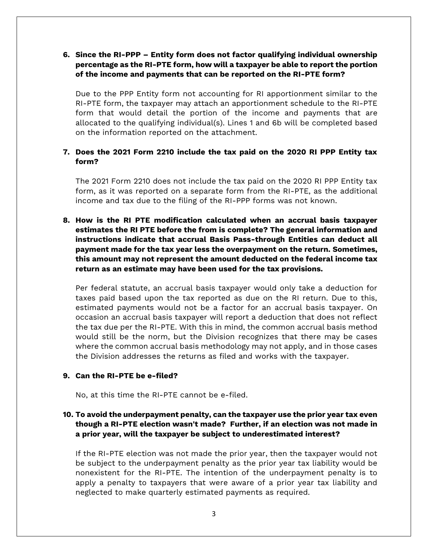#### **6. Since the RI-PPP – Entity form does not factor qualifying individual ownership percentage as the RI-PTE form, how will a taxpayer be able to report the portion of the income and payments that can be reported on the RI-PTE form?**

Due to the PPP Entity form not accounting for RI apportionment similar to the RI-PTE form, the taxpayer may attach an apportionment schedule to the RI-PTE form that would detail the portion of the income and payments that are allocated to the qualifying individual(s). Lines 1 and 6b will be completed based on the information reported on the attachment.

#### **7. Does the 2021 Form 2210 include the tax paid on the 2020 RI PPP Entity tax form?**

The 2021 Form 2210 does not include the tax paid on the 2020 RI PPP Entity tax form, as it was reported on a separate form from the RI-PTE, as the additional income and tax due to the filing of the RI-PPP forms was not known.

**8. How is the RI PTE modification calculated when an accrual basis taxpayer estimates the RI PTE before the from is complete? The general information and instructions indicate that accrual Basis Pass-through Entities can deduct all payment made for the tax year less the overpayment on the return. Sometimes, this amount may not represent the amount deducted on the federal income tax return as an estimate may have been used for the tax provisions.**

Per federal statute, an accrual basis taxpayer would only take a deduction for taxes paid based upon the tax reported as due on the RI return. Due to this, estimated payments would not be a factor for an accrual basis taxpayer. On occasion an accrual basis taxpayer will report a deduction that does not reflect the tax due per the RI-PTE. With this in mind, the common accrual basis method would still be the norm, but the Division recognizes that there may be cases where the common accrual basis methodology may not apply, and in those cases the Division addresses the returns as filed and works with the taxpayer.

#### **9. Can the RI-PTE be e-filed?**

No, at this time the RI-PTE cannot be e-filed.

#### **10. To avoid the underpayment penalty, can the taxpayer use the prior year tax even though a RI-PTE election wasn't made? Further, if an election was not made in a prior year, will the taxpayer be subject to underestimated interest?**

If the RI-PTE election was not made the prior year, then the taxpayer would not be subject to the underpayment penalty as the prior year tax liability would be nonexistent for the RI-PTE. The intention of the underpayment penalty is to apply a penalty to taxpayers that were aware of a prior year tax liability and neglected to make quarterly estimated payments as required.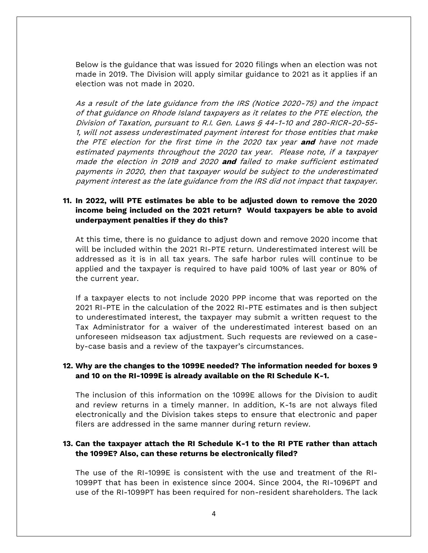Below is the guidance that was issued for 2020 filings when an election was not made in 2019. The Division will apply similar guidance to 2021 as it applies if an election was not made in 2020.

As a result of the late guidance from the IRS (Notice 2020-75) and the impact of that guidance on Rhode Island taxpayers as it relates to the PTE election, the Division of Taxation, pursuant to R.I. Gen. Laws § 44-1-10 and 280-RICR-20-55- 1, will not assess underestimated payment interest for those entities that make the PTE election for the first time in the 2020 tax year **and** have not made estimated payments throughout the 2020 tax year. Please note, if a taxpayer made the election in 2019 and 2020 **and** failed to make sufficient estimated payments in 2020, then that taxpayer would be subject to the underestimated payment interest as the late guidance from the IRS did not impact that taxpayer.

#### **11. In 2022, will PTE estimates be able to be adjusted down to remove the 2020 income being included on the 2021 return? Would taxpayers be able to avoid underpayment penalties if they do this?**

At this time, there is no guidance to adjust down and remove 2020 income that will be included within the 2021 RI-PTE return. Underestimated interest will be addressed as it is in all tax years. The safe harbor rules will continue to be applied and the taxpayer is required to have paid 100% of last year or 80% of the current year.

If a taxpayer elects to not include 2020 PPP income that was reported on the 2021 RI-PTE in the calculation of the 2022 RI-PTE estimates and is then subject to underestimated interest, the taxpayer may submit a written request to the Tax Administrator for a waiver of the underestimated interest based on an unforeseen midseason tax adjustment. Such requests are reviewed on a caseby-case basis and a review of the taxpayer's circumstances.

#### **12. Why are the changes to the 1099E needed? The information needed for boxes 9 and 10 on the RI-1099E is already available on the RI Schedule K-1.**

The inclusion of this information on the 1099E allows for the Division to audit and review returns in a timely manner. In addition, K-1s are not always filed electronically and the Division takes steps to ensure that electronic and paper filers are addressed in the same manner during return review.

#### **13. Can the taxpayer attach the RI Schedule K-1 to the RI PTE rather than attach the 1099E? Also, can these returns be electronically filed?**

The use of the RI-1099E is consistent with the use and treatment of the RI-1099PT that has been in existence since 2004. Since 2004, the RI-1096PT and use of the RI-1099PT has been required for non-resident shareholders. The lack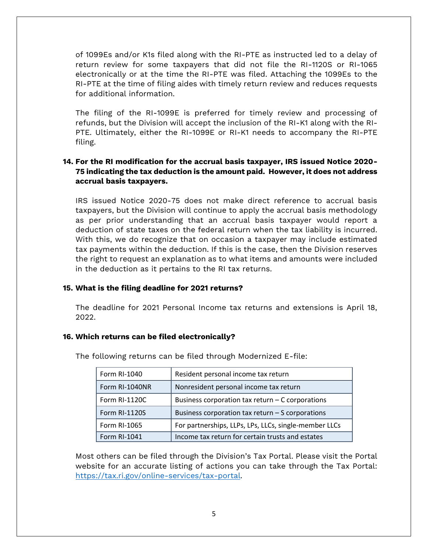of 1099Es and/or K1s filed along with the RI-PTE as instructed led to a delay of return review for some taxpayers that did not file the RI-1120S or RI-1065 electronically or at the time the RI-PTE was filed. Attaching the 1099Es to the RI-PTE at the time of filing aides with timely return review and reduces requests for additional information.

The filing of the RI-1099E is preferred for timely review and processing of refunds, but the Division will accept the inclusion of the RI-K1 along with the RI-PTE. Ultimately, either the RI-1099E or RI-K1 needs to accompany the RI-PTE filing.

# **14. For the RI modification for the accrual basis taxpayer, IRS issued Notice 2020- 75 indicating the tax deduction is the amount paid. However, it does not address accrual basis taxpayers.**

IRS issued Notice 2020-75 does not make direct reference to accrual basis taxpayers, but the Division will continue to apply the accrual basis methodology as per prior understanding that an accrual basis taxpayer would report a deduction of state taxes on the federal return when the tax liability is incurred. With this, we do recognize that on occasion a taxpayer may include estimated tax payments within the deduction. If this is the case, then the Division reserves the right to request an explanation as to what items and amounts were included in the deduction as it pertains to the RI tax returns.

#### **15. What is the filing deadline for 2021 returns?**

The deadline for 2021 Personal Income tax returns and extensions is April 18, 2022.

#### **16. Which returns can be filed electronically?**

| TOILOWING TULUMING CAN DU TILUM LINOUGH MOULTINEUM LE TILU. |                |                                                    |
|-------------------------------------------------------------|----------------|----------------------------------------------------|
|                                                             | Form RI-1040   | Resident personal income tax return                |
|                                                             | Form RI-1040NR | Nonresident personal income tax return             |
|                                                             | Form RI-1120C  | Business corporation tax return $-$ C corporations |
|                                                             | Form RI-1120S  | Business corporation tax return $-$ S corporations |
|                                                             |                |                                                    |

Form RI-1065 **For partnerships, LLPs, LPs, LLCs, single-member LLCs** 

Form RI-1041 **Income tax return for certain trusts and estates** 

The following returns can be filed through Modernized E-file:

Most others can be filed through the Division's Tax Portal. Please visit the Portal website for an accurate listing of actions you can take through the Tax Portal: [https://tax.ri.gov/online-services/tax-portal.](https://tax.ri.gov/online-services/tax-portal)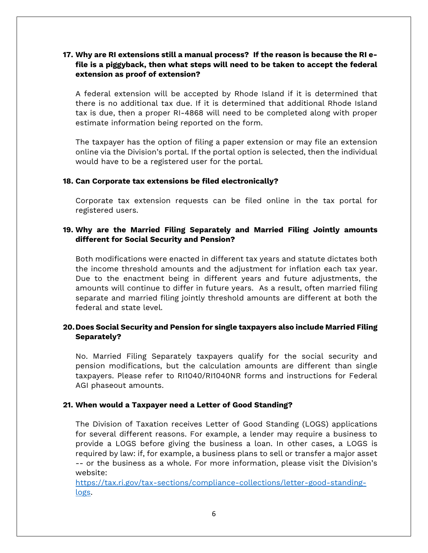#### **17. Why are RI extensions still a manual process? If the reason is because the RI efile is a piggyback, then what steps will need to be taken to accept the federal extension as proof of extension?**

A federal extension will be accepted by Rhode Island if it is determined that there is no additional tax due. If it is determined that additional Rhode Island tax is due, then a proper RI-4868 will need to be completed along with proper estimate information being reported on the form.

The taxpayer has the option of filing a paper extension or may file an extension online via the Division's portal. If the portal option is selected, then the individual would have to be a registered user for the portal.

#### **18. Can Corporate tax extensions be filed electronically?**

Corporate tax extension requests can be filed online in the tax portal for registered users.

#### **19. Why are the Married Filing Separately and Married Filing Jointly amounts different for Social Security and Pension?**

Both modifications were enacted in different tax years and statute dictates both the income threshold amounts and the adjustment for inflation each tax year. Due to the enactment being in different years and future adjustments, the amounts will continue to differ in future years. As a result, often married filing separate and married filing jointly threshold amounts are different at both the federal and state level.

#### **20.Does Social Security and Pension for single taxpayers also include Married Filing Separately?**

No. Married Filing Separately taxpayers qualify for the social security and pension modifications, but the calculation amounts are different than single taxpayers. Please refer to RI1040/RI1040NR forms and instructions for Federal AGI phaseout amounts.

#### **21. When would a Taxpayer need a Letter of Good Standing?**

The Division of Taxation receives Letter of Good Standing (LOGS) applications for several different reasons. For example, a lender may require a business to provide a LOGS before giving the business a loan. In other cases, a LOGS is required by law: if, for example, a business plans to sell or transfer a major asset -- or the business as a whole. For more information, please visit the Division's website:

[https://tax.ri.gov/tax-sections/compliance-collections/letter-good-standing](https://tax.ri.gov/tax-sections/compliance-collections/letter-good-standing-logs)[logs.](https://tax.ri.gov/tax-sections/compliance-collections/letter-good-standing-logs)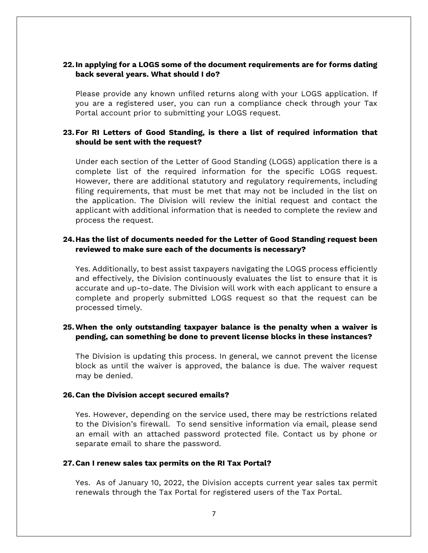#### **22.In applying for a LOGS some of the document requirements are for forms dating back several years. What should I do?**

Please provide any known unfiled returns along with your LOGS application. If you are a registered user, you can run a compliance check through your Tax Portal account prior to submitting your LOGS request.

#### **23.For RI Letters of Good Standing, is there a list of required information that should be sent with the request?**

Under each section of the Letter of Good Standing (LOGS) application there is a complete list of the required information for the specific LOGS request. However, there are additional statutory and regulatory requirements, including filing requirements, that must be met that may not be included in the list on the application. The Division will review the initial request and contact the applicant with additional information that is needed to complete the review and process the request.

#### **24.Has the list of documents needed for the Letter of Good Standing request been reviewed to make sure each of the documents is necessary?**

Yes. Additionally, to best assist taxpayers navigating the LOGS process efficiently and effectively, the Division continuously evaluates the list to ensure that it is accurate and up-to-date. The Division will work with each applicant to ensure a complete and properly submitted LOGS request so that the request can be processed timely.

#### **25.When the only outstanding taxpayer balance is the penalty when a waiver is pending, can something be done to prevent license blocks in these instances?**

The Division is updating this process. In general, we cannot prevent the license block as until the waiver is approved, the balance is due. The waiver request may be denied.

#### **26.Can the Division accept secured emails?**

Yes. However, depending on the service used, there may be restrictions related to the Division's firewall. To send sensitive information via email, please send an email with an attached password protected file. Contact us by phone or separate email to share the password.

#### **27.Can I renew sales tax permits on the RI Tax Portal?**

Yes. As of January 10, 2022, the Division accepts current year sales tax permit renewals through the Tax Portal for registered users of the Tax Portal.